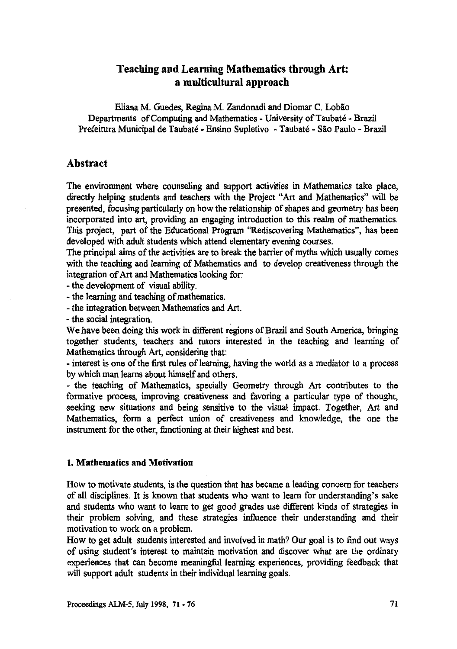# **Teaching and Learning Mathematics through Art: a multicultural approach**

Eliana M. Guedes, Regina M. Zandonadi and Diomar C. Lobão **Departments of Computing and Mathematics - University of Taubate - Brazil** Prefeitura Municipal de Taubaté - Ensino Supletivo - Taubaté - São Paulo - Brazil

## **Abstract**

**The environment where counseling and support activities in Mathematics take place, directly helping students and teachers with the Project "Art and Mathematics" will be presented, focusing particularly on how the relationship of shapes and geometry has been incorporated into art, providing an engaging introduction to this realm of mathematics. This project, part of the Educational Program "Rediscovering Mathematics", has been developed with adult students which attend elementary evening courses.**

**The principal aims of the activities are to break the barrier of myths which usually comes with the teaching and learning of Mathematics and to develop creativeness through the integration of Art and Mathematics looking for:**

**- the development of visual ability.**

**- the learning and teaching of mathematics.**

**- the integration between Mathematics and Art.**

**- the social integration.**

**We have been doing this work in different regions of Brazil and South America, bringing together students, teachers and tutors interested in the teaching and learning of Mathematics through Art, considering that:**

**- interest is one of the first rules of learning, having the world as a mediator to a process by which man learns about himself and others.**

**- the teaching of Mathematics, specially Geometry through Art contributes to the formative process, improving creativeness and favoring a particular type of thought, seeking new situations and being sensitive to the visual impact. Together, Art and Mathematics, form a perfect union of creativeness and knowledge, the one the instrument for the other, functioning at their highest and best.**

#### **1. Mathematics and Motivation**

**How to motivate students, is the question that has became a leading concern for teachers of all disciplines. It is known that students who want to learn for understanding's sake and students who want to learn to get good grades use different kinds of strategies in their problem solving, and these strategies influence their understanding and their motivation to work on a problem.**

**How to get adult students interested and involved in math? Our goal is to find out ways of using student's interest to maintain motivation and discover what are the ordinary experiences that can become meaningful learning experiences, providing feedback that will support adult students in their individual learning goals.**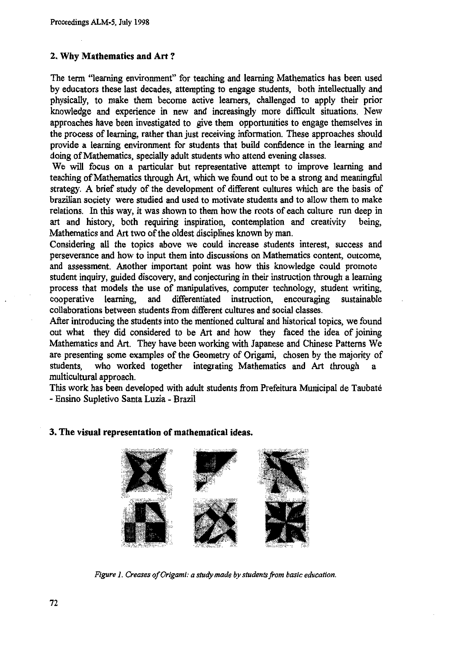#### **2. Why Mathematics and Art ?**

**The term "learning environment" for teaching and learning Mathematics has been used by educators these last decades, attempting to engage students, both intellectually and physically, to make them become active learners, challenged to apply their prior knowledge and experience in new and increasingly more difficult situations. New approaches have been investigated to give them opportunities to engage themselves in the process of learning, rather than just receiving information. These approaches should provide a learning environment for students that build confidence in the learning and doing of Mathematics, specially adult students who attend evening classes.**

**We will focus on a particular but representative attempt to improve learning and teaching of Mathematics through Art, which we found out to be a strong and meaningful strategy, A brief study of the development of different cultures which are the basis of Brazilian society were studied and used to motivate students and to allow them to make relations. In this way, it was shown to them how the roots of each culture run** *deep in* **art and history, both requiring inspiration, contemplation and creativity being, Mathematics and Art two of the oldest disciplines** *known* **by man.**

**Considering all the topics above we could increase students interest, success and perseverance and how to input them into discussions on Mathematics content, outcome, and assessment. Another important point was how this knowledge could promote student inquiry, guided discovery, and conjecturing in their instruction through a learning process that models the use of manipulatives, computer technology, student writing, cooperative learning, and differentiated instruction, encouraging sustainable collaborations between students from different cultures and social classes.**

**After introducing the students into the mentioned cultural and historical topics, we found out what they did considered to be Art and how they faced the idea of joining Mathematics and Art. They have been working with Japanese and Chinese Patterns We are presenting some examples of the Geometry of Origami, chosen by the majority of** students, who worked together integrating Mathematics and Art through **multicultural approach.**

**This work has been developed with adult students from Prefeitura Municipal de Taubate - Ensino Supletivo Santa Luzia - Brazil**

#### **3. The visual representation of mathematical ideas.**



*Figure 1. Creases of Origami: a study made by students from basic education.*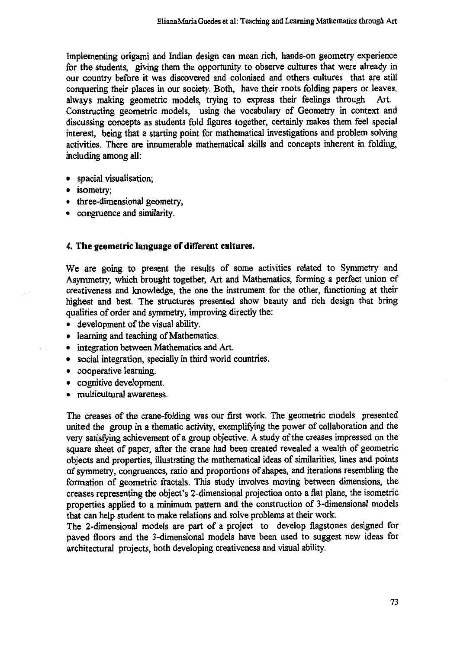**Implementing origami and Indian design can mean rich, hands-on geometry experience for the students, giving them the opportunity to observe cultures that were already in our country before it was discovered and colonised and others cultures that are still conquering their places in our society. Both, have their roots folding papers or leaves, always making geometric models, trying to express their feelings through Art. Constructing geometric models, using the vocabulary of Geometry in context and discussing concepts as students fold figures together, certainly makes them feel special interest, being that a starting point for mathematical investigations and problem solving activities. There are innumerable mathematical skills and concepts inherent in folding, including among all:**

- **• spacial visualisation;**
- **• isometry;**
- **• three-dimensional geometry,**
- **• congruence and similarity.**

### **4. The geometric language of different cultures.**

**We are going to present the results of some activities related to Symmetry and Asymmetry, which brought together, Art and Mathematics, forming a perfect union of creativeness and knowledge, the one the instrument for the other, functioning at their highest and best. The structures presented show beauty and rich design that bring qualities of order and symmetry, improving directly the:**

- **• development of the visual ability.**
- **• learning and teaching of Mathematics.**
- **• integration between Mathematics and Art.**
- **• social integration, specially in third world countries.**
- **• cooperative learning.**
- **• cognitive development.**
- **• multicultural awareness.**

**The creases of the crane-folding was our first work. The geometric models presented united the group in a thematic activity, exemplifying the power of collaboration and the very satisfying achievement of a group objective. A study of the creases impressed on the square sheet of paper, after the crane had been created revealed a wealth of geometric objects and properties, illustrating the mathematical ideas of similarities, lines and points of symmetry, congruences, ratio and proportions of shapes, and iterations resembling the formation of geometric fractals. This study involves moving between dimensions, the creases representing the object's 2-dimensional projection onto a flat plane, the isometric properties applied to a minimum pattern and the construction of 3-dimensional models that can help student to make relations and solve problems at their work.**

**The 2-dimensional models are part of a project to develop flagstones designed for paved floors and the 3-dimensional models have been used to suggest new ideas for architectural projects, both developing creativeness and visual ability.**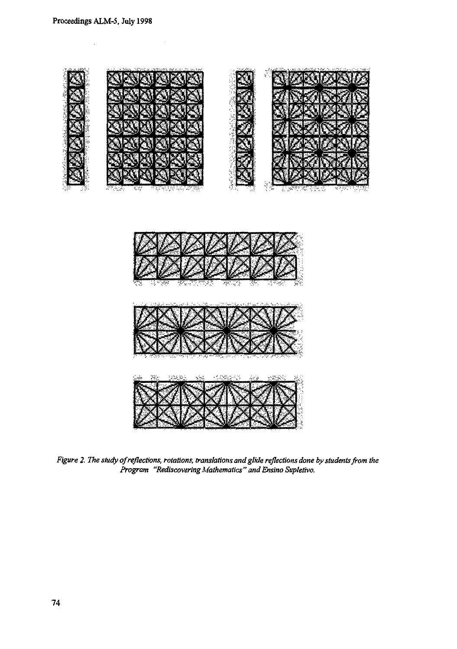$\ddot{\phantom{0}}$ 





Figure 2. The study of reflections, rotations, translations and glide reflections done by students from the<br>Program "Rediscovering Mathematics" and Ensino Supletivo.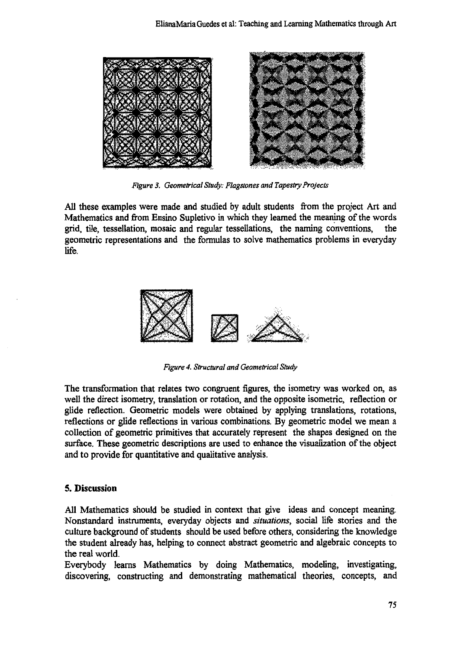

*Figure 3. Geometrical Study: Flagstones and Tapestry Projects*

**All these examples were made and studied by adult students from the project Art and Mathematics and from Ensino Supletivo in which they learned the meaning of the words grid, tile, tessellation, mosaic and regular tessellations, the naming conventions, the geometric representations and the formulas to solve mathematics problems in everyday life.**



*Figure 4. Structural and Geometrical Study*

**The transformation that relates two congruent figures, the isometry was worked on, as well the direct isometry, translation or rotation, and the opposite isometric, reflection or glide reflection. Geometric models were obtained by applying translations, rotations, reflections or glide reflections in various combinations. By geometric model we mean a collection of geometric primitives that accurately represent the shapes designed on the surface. These geometric descriptions are used to enhance the visualization of the object and to provide for quantitative and qualitative analysis.**

## **5. Discussion**

**All Mathematics should be studied in context that give ideas and concept meaning. Nonstandard instruments, everyday objects and** *situations,* **social life stories and the culture background of students should be used before others, considering the knowledge the student already has, helping to connect abstract geometric and algebraic concepts to the real world.**

**Everybody learns Mathematics by doing Mathematics, modeling, investigating, discovering, constructing and demonstrating mathematical theories, concepts, and**